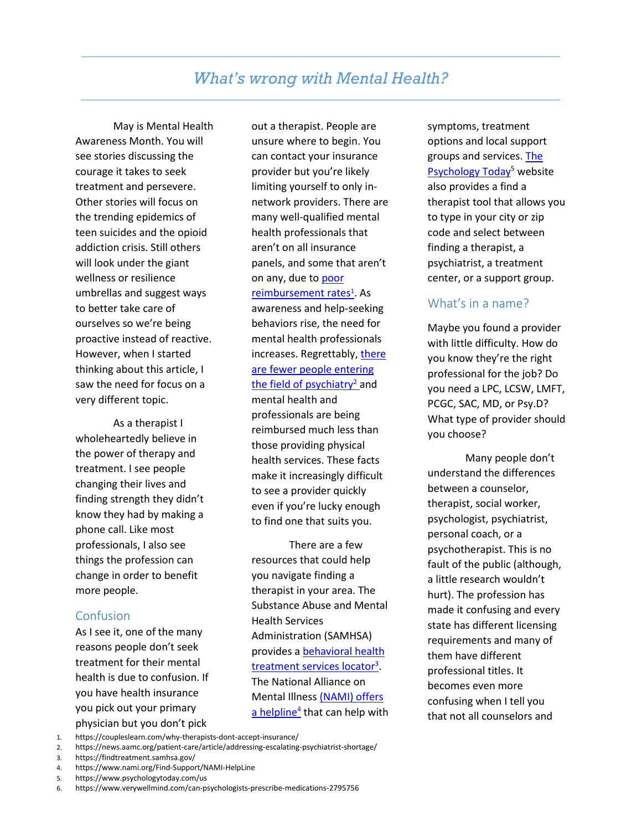# *What's wrong with Mental Health?*

May is Mental Health Awareness Month. You will see stories discussing the courage it takes to seek treatment and persevere. Other stories will focus on the trending epidemics of teen suicides and the opioid addiction crisis. Still others will look under the giant wellness or resilience umbrellas and suggest ways to better take care of ourselves so we're being proactive instead of reactive. However, when I started thinking about this article, I saw the need for focus on a very different topic.

As a therapist I wholeheartedly believe in the power of therapy and treatment. I see people changing their lives and finding strength they didn't know they had by making a phone call. Like most professionals, I also see things the profession can change in order to benefit more people.

## Confusion

As I see it, one of the many reasons people don't seek treatment for their mental health is due to confusion. If you have health insurance you pick out your primary physician but you don't pick

out a therapist. People are unsure where to begin. You can contact your insurance provider but you're likely limiting yourself to only innetwork providers. There are many well-qualified mental health professionals that aren't on all insurance panels, and some that aren't on any, due to [poor](https://coupleslearn.com/why-therapists-dont-accept-insurance/)  reimbursement rates<sup>1</sup>. As awareness and help-seeking behaviors rise, the need for

mental health professionals increases. Regrettably, there are fewer people entering the field of psychiatry<sup>2</sup> and

mental health and professionals are being reimbursed much less than those providing physical health services. These facts make it increasingly difficult to see a provider quickly even if you're lucky enough to find one that suits you.

There are a few resources that could help you navigate finding a therapist in your area. The Substance Abuse and Mental Health Services Administration (SAMHSA) provides [a behavioral health](https://findtreatment.samhsa.gov/)  treatment services locator<sup>3</sup>. The National Alliance on Mental Illness [\(NAMI\) offers](https://www.nami.org/Find-Support/NAMI-HelpLine)  a helpline<sup>4</sup> that can help with symptoms, treatment options and local support groups and services. [The](https://www.psychologytoday.com/us)  Psychology Today<sup>5</sup> website also provides a find a therapist tool that allows you to type in your city or zip code and select between finding a therapist, a psychiatrist, a treatment center, or a support group.

# What's in a name?

Maybe you found a provider with little difficulty. How do you know they're the right professional for the job? Do you need a LPC, LCSW, LMFT, PCGC, SAC, MD, or Psy.D? What type of provider should you choose?

Many people don't understand the differences between a counselor, therapist, social worker, psychologist, psychiatrist, personal coach, or a psychotherapist. This is no fault of the public (although, a little research wouldn't hurt). The profession has made it confusing and every state has different licensing requirements and many of them have different professional titles. It becomes even more confusing when I tell you that not all counselors and

- 2. https://news.aamc.org/patient-care/article/addressing-escalating-psychiatrist-shortage/
- 3. https://findtreatment.samhsa.gov/

5. https://www.psychologytoday.com/us

<sup>1.</sup> https://coupleslearn.com/why-therapists-dont-accept-insurance/

<sup>4.</sup> https://www.nami.org/Find-Support/NAMI-HelpLine

<sup>6.</sup> https://www.verywellmind.com/can-psychologists-prescribe-medications-2795756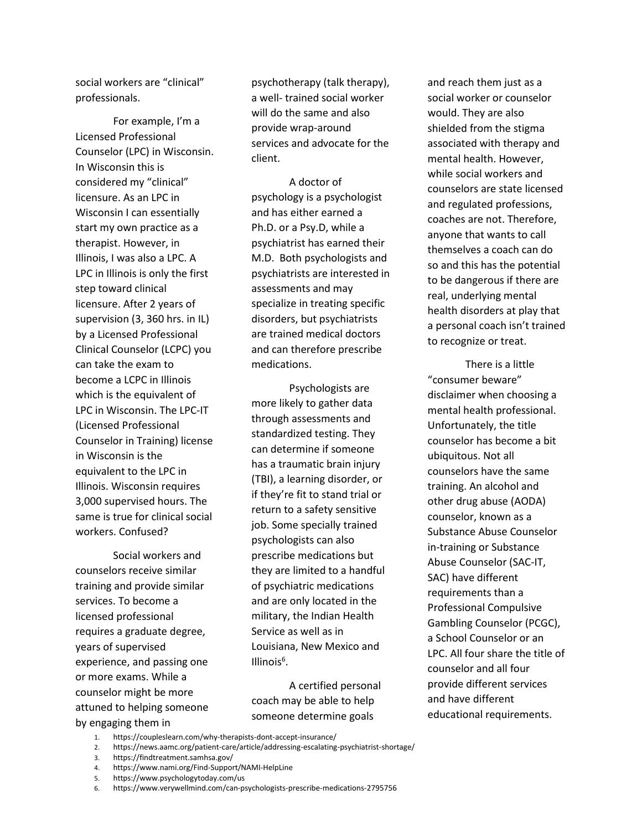social workers are "clinical" professionals.

For example, I'm a Licensed Professional Counselor (LPC) in Wisconsin. In Wisconsin this is considered my "clinical" licensure. As an LPC in Wisconsin I can essentially start my own practice as a therapist. However, in Illinois, I was also a LPC. A LPC in Illinois is only the first step toward clinical licensure. After 2 years of supervision (3, 360 hrs. in IL) by a Licensed Professional Clinical Counselor (LCPC) you can take the exam to become a LCPC in Illinois which is the equivalent of LPC in Wisconsin. The LPC-IT (Licensed Professional Counselor in Training) license in Wisconsin is the equivalent to the LPC in Illinois. Wisconsin requires 3,000 supervised hours. The same is true for clinical social workers. Confused?

Social workers and counselors receive similar training and provide similar services. To become a licensed professional requires a graduate degree, years of supervised experience, and passing one or more exams. While a counselor might be more attuned to helping someone by engaging them in

psychotherapy (talk therapy), a well- trained social worker will do the same and also provide wrap-around services and advocate for the client.

A doctor of psychology is a psychologist and has either earned a Ph.D. or a Psy.D, while a psychiatrist has earned their M.D. Both psychologists and psychiatrists are interested in assessments and may specialize in treating specific disorders, but psychiatrists are trained medical doctors and can therefore prescribe medications.

Psychologists are more likely to gather data through assessments and standardized testing. They can determine if someone has a traumatic brain injury (TBI), a learning disorder, or if they're fit to stand trial or return to a safety sensitive job. Some specially trained psychologists can also prescribe medications but they are limited to a handful of psychiatric medications and are only located in the military, the Indian Health Service as well as in Louisiana, New Mexico and Illinois<sup>6</sup>.

A certified personal coach may be able to help someone determine goals

and reach them just as a social worker or counselor would. They are also shielded from the stigma associated with therapy and mental health. However, while social workers and counselors are state licensed and regulated professions, coaches are not. Therefore, anyone that wants to call themselves a coach can do so and this has the potential to be dangerous if there are real, underlying mental health disorders at play that a personal coach isn't trained to recognize or treat.

There is a little "consumer beware" disclaimer when choosing a mental health professional. Unfortunately, the title counselor has become a bit ubiquitous. Not all counselors have the same training. An alcohol and other drug abuse (AODA) counselor, known as a Substance Abuse Counselor in-training or Substance Abuse Counselor (SAC-IT, SAC) have different requirements than a Professional Compulsive Gambling Counselor (PCGC), a School Counselor or an LPC. All four share the title of counselor and all four provide different services and have different educational requirements.

- 1. https://coupleslearn.com/why-therapists-dont-accept-insurance/
- 2. https://news.aamc.org/patient-care/article/addressing-escalating-psychiatrist-shortage/
- 3. https://findtreatment.samhsa.gov/
- 4. https://www.nami.org/Find-Support/NAMI-HelpLine
- 5. https://www.psychologytoday.com/us
- 6. https://www.verywellmind.com/can-psychologists-prescribe-medications-2795756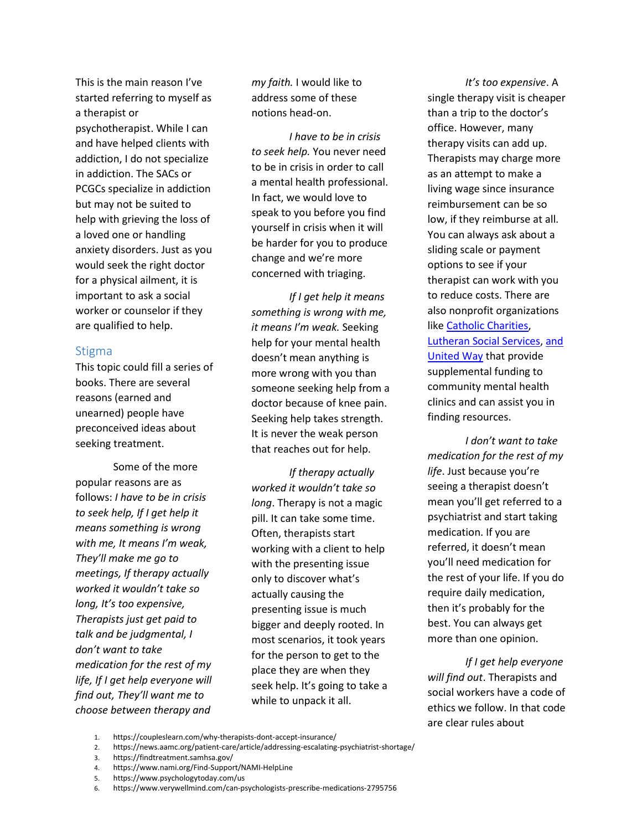This is the main reason I've started referring to myself as a therapist or psychotherapist. While I can and have helped clients with addiction, I do not specialize in addiction. The SACs or PCGCs specialize in addiction but may not be suited to help with grieving the loss of a loved one or handling anxiety disorders. Just as you would seek the right doctor for a physical ailment, it is important to ask a social worker or counselor if they are qualified to help.

#### **Stigma**

This topic could fill a series of books. There are several reasons (earned and unearned) people have preconceived ideas about seeking treatment.

Some of the more popular reasons are as follows: *I have to be in crisis to seek help, If I get help it means something is wrong with me, It means I'm weak, They'll make me go to meetings, If therapy actually worked it wouldn't take so long, It's too expensive, Therapists just get paid to talk and be judgmental, I don't want to take medication for the rest of my life, If I get help everyone will find out, They'll want me to choose between therapy and* 

*my faith.* I would like to address some of these notions head-on.

*I have to be in crisis to seek help.* You never need to be in crisis in order to call a mental health professional. In fact, we would love to speak to you before you find yourself in crisis when it will be harder for you to produce change and we're more concerned with triaging.

*If I get help it means something is wrong with me, it means I'm weak.* Seeking help for your mental health doesn't mean anything is more wrong with you than someone seeking help from a doctor because of knee pain. Seeking help takes strength. It is never the weak person that reaches out for help.

*If therapy actually worked it wouldn't take so long*. Therapy is not a magic pill. It can take some time. Often, therapists start working with a client to help with the presenting issue only to discover what's actually causing the presenting issue is much bigger and deeply rooted. In most scenarios, it took years for the person to get to the place they are when they seek help. It's going to take a while to unpack it all.

*It's too expensive*. A single therapy visit is cheaper than a trip to the doctor's office. However, many therapy visits can add up. Therapists may charge more as an attempt to make a living wage since insurance reimbursement can be so low, if they reimburse at all. You can always ask about a sliding scale or payment options to see if your therapist can work with you to reduce costs. There are also nonprofit organizations like [Catholic Charities,](https://www.catholiccharitiesusa.org/) [Lutheran Social Services,](https://www.lsswis.org/LSS.htm) [and](https://www.unitedway.org/our-impact/featured-programs/2-1-1)  [United](https://www.unitedway.org/our-impact/featured-programs/2-1-1) Way that provide supplemental funding to community mental health clinics and can assist you in finding resources.

*I don't want to take medication for the rest of my life*. Just because you're seeing a therapist doesn't mean you'll get referred to a psychiatrist and start taking medication. If you are referred, it doesn't mean you'll need medication for the rest of your life. If you do require daily medication, then it's probably for the best. You can always get more than one opinion.

*If I get help everyone will find out*. Therapists and social workers have a code of ethics we follow. In that code are clear rules about

- 1. https://coupleslearn.com/why-therapists-dont-accept-insurance/
- 2. https://news.aamc.org/patient-care/article/addressing-escalating-psychiatrist-shortage/
- 3. https://findtreatment.samhsa.gov/

- 5. https://www.psychologytoday.com/us
- 6. https://www.verywellmind.com/can-psychologists-prescribe-medications-2795756

<sup>4.</sup> https://www.nami.org/Find-Support/NAMI-HelpLine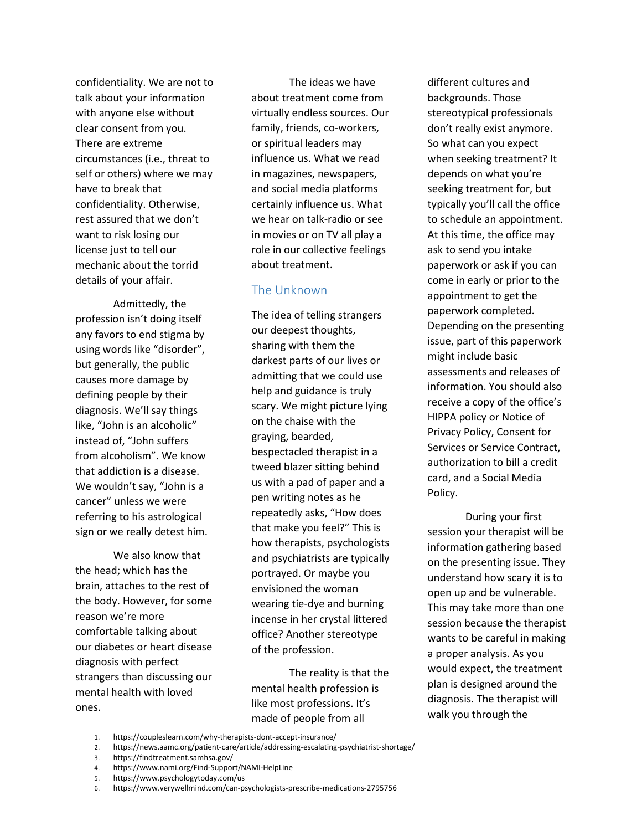confidentiality. We are not to talk about your information with anyone else without clear consent from you. There are extreme circumstances (i.e., threat to self or others) where we may have to break that confidentiality. Otherwise, rest assured that we don't want to risk losing our license just to tell our mechanic about the torrid details of your affair.

Admittedly, the profession isn't doing itself any favors to end stigma by using words like "disorder", but generally, the public causes more damage by defining people by their diagnosis. We'll say things like, "John is an alcoholic" instead of, "John suffers from alcoholism". We know that addiction is a disease. We wouldn't say, "John is a cancer" unless we were referring to his astrological sign or we really detest him.

We also know that the head; which has the brain, attaches to the rest of the body. However, for some reason we're more comfortable talking about our diabetes or heart disease diagnosis with perfect strangers than discussing our mental health with loved ones.

The ideas we have about treatment come from virtually endless sources. Our family, friends, co-workers, or spiritual leaders may influence us. What we read in magazines, newspapers, and social media platforms certainly influence us. What we hear on talk-radio or see in movies or on TV all play a role in our collective feelings about treatment.

## The Unknown

The idea of telling strangers our deepest thoughts, sharing with them the darkest parts of our lives or admitting that we could use help and guidance is truly scary. We might picture lying on the chaise with the graying, bearded, bespectacled therapist in a tweed blazer sitting behind us with a pad of paper and a pen writing notes as he repeatedly asks, "How does that make you feel?" This is how therapists, psychologists and psychiatrists are typically portrayed. Or maybe you envisioned the woman wearing tie-dye and burning incense in her crystal littered office? Another stereotype of the profession.

The reality is that the mental health profession is like most professions. It's made of people from all

different cultures and backgrounds. Those stereotypical professionals don't really exist anymore. So what can you expect when seeking treatment? It depends on what you're seeking treatment for, but typically you'll call the office to schedule an appointment. At this time, the office may ask to send you intake paperwork or ask if you can come in early or prior to the appointment to get the paperwork completed. Depending on the presenting issue, part of this paperwork might include basic assessments and releases of information. You should also receive a copy of the office's HIPPA policy or Notice of Privacy Policy, Consent for Services or Service Contract, authorization to bill a credit card, and a Social Media Policy.

During your first session your therapist will be information gathering based on the presenting issue. They understand how scary it is to open up and be vulnerable. This may take more than one session because the therapist wants to be careful in making a proper analysis. As you would expect, the treatment plan is designed around the diagnosis. The therapist will walk you through the

- 1. https://coupleslearn.com/why-therapists-dont-accept-insurance/
- 2. https://news.aamc.org/patient-care/article/addressing-escalating-psychiatrist-shortage/
- 3. https://findtreatment.samhsa.gov/

- 5. https://www.psychologytoday.com/us
- 6. https://www.verywellmind.com/can-psychologists-prescribe-medications-2795756

<sup>4.</sup> https://www.nami.org/Find-Support/NAMI-HelpLine